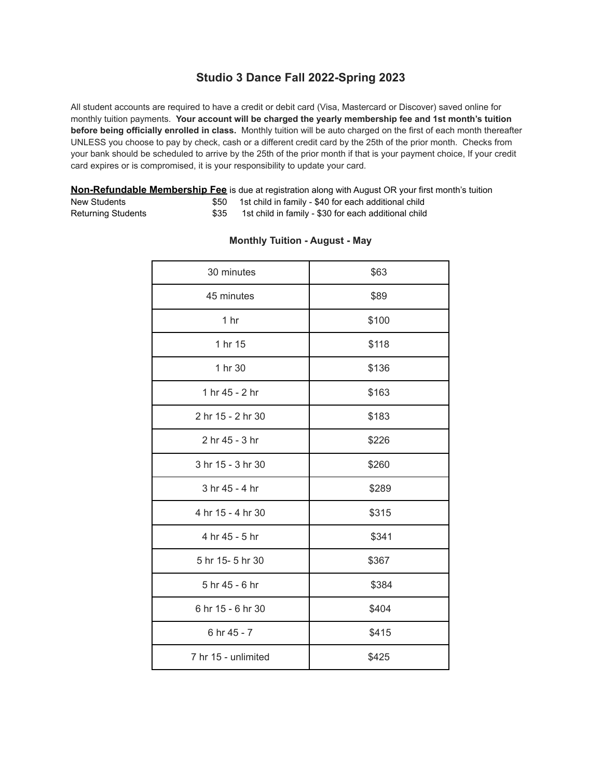# **Studio 3 Dance Fall 2022-Spring 2023**

All student accounts are required to have a credit or debit card (Visa, Mastercard or Discover) saved online for monthly tuition payments. **Your account will be charged the yearly membership fee and 1st month's tuition before being officially enrolled in class.** Monthly tuition will be auto charged on the first of each month thereafter UNLESS you choose to pay by check, cash or a different credit card by the 25th of the prior month. Checks from your bank should be scheduled to arrive by the 25th of the prior month if that is your payment choice, If your credit card expires or is compromised, it is your responsibility to update your card.

|                    |      | <b>Non-Refundable Membership Fee</b> is due at registration along with August OR your first month's tuition |
|--------------------|------|-------------------------------------------------------------------------------------------------------------|
| New Students       |      | 1st child in family - \$40 for each additional child                                                        |
| Returning Students | \$35 | 1st child in family - \$30 for each additional child                                                        |

| 30 minutes          | \$63  |
|---------------------|-------|
| 45 minutes          | \$89  |
| 1 hr                | \$100 |
| 1 hr 15             | \$118 |
| 1 hr 30             | \$136 |
| 1 hr 45 - 2 hr      | \$163 |
| 2 hr 15 - 2 hr 30   | \$183 |
| 2 hr 45 - 3 hr      | \$226 |
| 3 hr 15 - 3 hr 30   | \$260 |
| 3 hr 45 - 4 hr      | \$289 |
| 4 hr 15 - 4 hr 30   | \$315 |
| 4 hr 45 - 5 hr      | \$341 |
| 5 hr 15-5 hr 30     | \$367 |
| 5 hr 45 - 6 hr      | \$384 |
| 6 hr 15 - 6 hr 30   | \$404 |
| 6 hr 45 - 7         | \$415 |
| 7 hr 15 - unlimited | \$425 |

#### **Monthly Tuition - August - May**